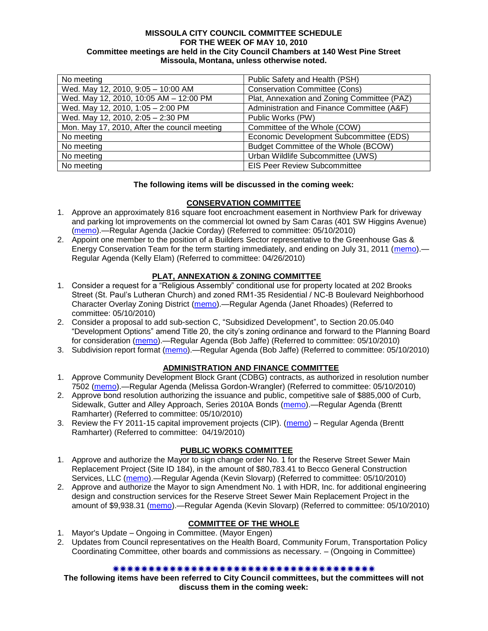### **MISSOULA CITY COUNCIL COMMITTEE SCHEDULE FOR THE WEEK OF MAY 10, 2010 Committee meetings are held in the City Council Chambers at 140 West Pine Street Missoula, Montana, unless otherwise noted.**

| No meeting                                   | Public Safety and Health (PSH)              |
|----------------------------------------------|---------------------------------------------|
| Wed. May 12, 2010, 9:05 - 10:00 AM           | <b>Conservation Committee (Cons)</b>        |
| Wed. May 12, 2010, 10:05 AM - 12:00 PM       | Plat, Annexation and Zoning Committee (PAZ) |
| Wed. May 12, 2010, 1:05 - 2:00 PM            | Administration and Finance Committee (A&F)  |
| Wed. May 12, 2010, 2:05 - 2:30 PM            | Public Works (PW)                           |
| Mon. May 17, 2010, After the council meeting | Committee of the Whole (COW)                |
| No meeting                                   | Economic Development Subcommittee (EDS)     |
| No meeting                                   | Budget Committee of the Whole (BCOW)        |
| No meeting                                   | Urban Wildlife Subcommittee (UWS)           |
| No meeting                                   | <b>EIS Peer Review Subcommittee</b>         |

## **The following items will be discussed in the coming week:**

### **CONSERVATION COMMITTEE**

- 1. Approve an approximately 816 square foot encroachment easement in Northview Park for driveway and parking lot improvements on the commercial lot owned by Sam Caras (401 SW Higgins Avenue) [\(memo\)](http://www.ci.missoula.mt.us/DocumentView.aspx?DID=3746).—Regular Agenda (Jackie Corday) (Referred to committee: 05/10/2010)
- 2. Appoint one member to the position of a Builders Sector representative to the Greenhouse Gas & Energy Conservation Team for the term starting immediately, and ending on July 31, 2011 [\(memo\)](http://www.ci.missoula.mt.us/DocumentView.aspx?DID=3587).— Regular Agenda (Kelly Elam) (Referred to committee: 04/26/2010)

# **PLAT, ANNEXATION & ZONING COMMITTEE**

- 1. Consider a request for a "Religious Assembly" conditional use for property located at 202 Brooks Street (St. Paul's Lutheran Church) and zoned RM1-35 Residential / NC-B Boulevard Neighborhood Character Overlay Zoning District [\(memo\)](http://www.ci.missoula.mt.us/DocumentView.aspx?DID=3738).—Regular Agenda (Janet Rhoades) (Referred to committee: 05/10/2010)
- 2. Consider a proposal to add sub-section C, "Subsidized Development", to Section 20.05.040 ―Development Options‖ amend Title 20, the city's zoning ordinance and forward to the Planning Board for consideration [\(memo\)](http://www.ci.missoula.mt.us/DocumentView.aspx?DID=3737).—Regular Agenda (Bob Jaffe) (Referred to committee: 05/10/2010)
- 3. Subdivision report format [\(memo\)](http://www.ci.missoula.mt.us/DocumentView.aspx?DID=3755).—Regular Agenda (Bob Jaffe) (Referred to committee: 05/10/2010)

## **ADMINISTRATION AND FINANCE COMMITTEE**

- 1. Approve Community Development Block Grant (CDBG) contracts, as authorized in resolution number 7502 [\(memo\)](http://www.ci.missoula.mt.us/DocumentView.aspx?DID=3749).—Regular Agenda (Melissa Gordon-Wrangler) (Referred to committee: 05/10/2010)
- 2. Approve bond resolution authorizing the issuance and public, competitive sale of \$885,000 of Curb, Sidewalk, Gutter and Alley Approach, Series 2010A Bonds [\(memo\)](http://www.ci.missoula.mt.us/DocumentView.aspx?DID=3762).—Regular Agenda (Brentt Ramharter) (Referred to committee: 05/10/2010)
- 3. Review the FY 2011-15 capital improvement projects (CIP). [\(memo\)](http://www.ci.missoula.mt.us/DocumentView.aspx?DID=3522) Regular Agenda (Brentt Ramharter) (Referred to committee: 04/19/2010)

## **PUBLIC WORKS COMMITTEE**

- 1. Approve and authorize the Mayor to sign change order No. 1 for the Reserve Street Sewer Main Replacement Project (Site ID 184), in the amount of \$80,783.41 to Becco General Construction Services, LLC [\(memo\)](http://www.ci.missoula.mt.us/DocumentView.aspx?DID=3734).—Regular Agenda (Kevin Slovarp) (Referred to committee: 05/10/2010)
- 2. Approve and authorize the Mayor to sign Amendment No. 1 with HDR, Inc. for additional engineering design and construction services for the Reserve Street Sewer Main Replacement Project in the amount of \$9,938.31 [\(memo\)](http://www.ci.missoula.mt.us/DocumentView.aspx?DID=3735).-Regular Agenda (Kevin Slovarp) (Referred to committee: 05/10/2010)

## **COMMITTEE OF THE WHOLE**

- 1. Mayor's Update Ongoing in Committee. (Mayor Engen)
- 2. Updates from Council representatives on the Health Board, Community Forum, Transportation Policy Coordinating Committee, other boards and commissions as necessary. – (Ongoing in Committee)

#### \*\*\*\*\*\*\*\*\*\*\*\*\*\*\*\*\*\*\*\*\*\*\*\*\*\*\*\*\*\*\*

**The following items have been referred to City Council committees, but the committees will not discuss them in the coming week:**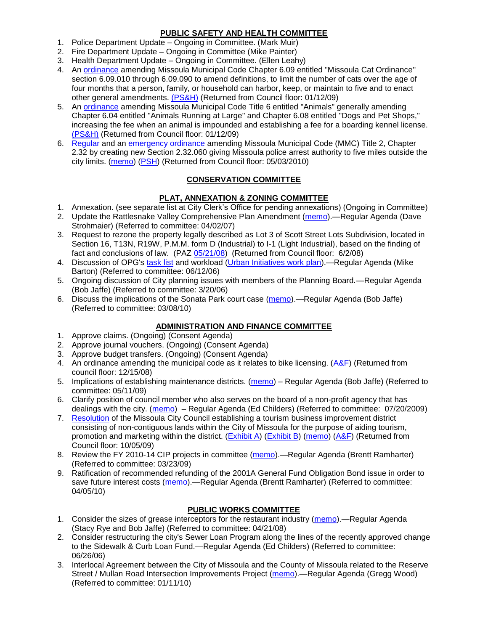# **PUBLIC SAFETY AND HEALTH COMMITTEE**

- 1. Police Department Update Ongoing in Committee. (Mark Muir)
- 2. Fire Department Update Ongoing in Committee (Mike Painter)
- 3. Health Department Update Ongoing in Committee. (Ellen Leahy)
- 4. An [ordinance](ftp://ftp.ci.missoula.mt.us/Packets/Council/2008/2008-12-15/2008CatOrdinanceAmendment%5B1%5D.pdf) amending Missoula Municipal Code Chapter 6.09 entitled "Missoula Cat Ordinance" section 6.09.010 through 6.09.090 to amend definitions, to limit the number of cats over the age of four months that a person, family, or household can harbor, keep, or maintain to five and to enact other general amendments. [\(PS&H\)](ftp://ftp.ci.missoula.mt.us/Packets/Council/2008/2008-12-15/081210psh.pdf) (Returned from Council floor: 01/12/09)
- 5. An [ordinance](ftp://ftp.ci.missoula.mt.us/Packets/Council/2008/2008-12-15/DogOrdinance--PSHrevisions.pdf) amending Missoula Municipal Code Title 6 entitled "Animals" generally amending Chapter 6.04 entitled "Animals Running at Large" and Chapter 6.08 entitled "Dogs and Pet Shops." increasing the fee when an animal is impounded and establishing a fee for a boarding kennel license. [\(PS&H\)](ftp://ftp.ci.missoula.mt.us/Packets/Council/2008/2008-12-15/081210psh.pdf) (Returned from Council floor: 01/12/09)
- 6. [Regular](http://www.ci.missoula.mt.us/DocumentView.aspx?DID=3518) and an [emergency ordinance](http://www.ci.missoula.mt.us/DocumentView.aspx?DID=3517) amending Missoula Municipal Code (MMC) Title 2, Chapter 2.32 by creating new Section 2.32.060 giving Missoula police arrest authority to five miles outside the city limits. [\(memo\)](http://www.ci.missoula.mt.us/DocumentView.aspx?DID=3519) [\(PSH\)](http://www.ci.missoula.mt.us/Archive.aspx?ADID=2232) (Returned from Council floor: 05/03/2010)

# **CONSERVATION COMMITTEE**

# **PLAT, ANNEXATION & ZONING COMMITTEE**

- 1. Annexation. (see separate list at City Clerk's Office for pending annexations) (Ongoing in Committee)
- 2. Update the Rattlesnake Valley Comprehensive Plan Amendment [\(memo\)](ftp://ftp.ci.missoula.mt.us/Packets/Council/2007/2007-04-02/Referrals/Rattlesnake_Plan_Update_referral.pdf).—Regular Agenda (Dave Strohmaier) (Referred to committee: 04/02/07)
- 3. Request to rezone the property legally described as Lot 3 of Scott Street Lots Subdivision, located in Section 16, T13N, R19W, P.M.M. form D (Industrial) to I-1 (Light Industrial), based on the finding of fact and conclusions of law. (PAZ [05/21/08\)](ftp://ftp.ci.missoula.mt.us/Packets/Council/2008/2008-06-02/080521paz.pdf) (Returned from Council floor: 6/2/08)
- 4. Discussion of OPG's [task list](ftp://ftp.ci.missoula.mt.us/Packets/Council/2008/2008-07-07/UITaskList.pdf) and workload [\(Urban Initiatives work plan\)](ftp://ftp.ci.missoula.mt.us/Packets/Council/2006/2006-06-12/Referrals/Urban_Init.htm).—Regular Agenda (Mike Barton) (Referred to committee: 06/12/06)
- 5. Ongoing discussion of City planning issues with members of the Planning Board.—Regular Agenda (Bob Jaffe) (Referred to committee: 3/20/06)
- 6. Discuss the implications of the Sonata Park court case [\(memo\)](http://www.ci.missoula.mt.us/DocumentView.aspx?DID=3268).—Regular Agenda (Bob Jaffe) (Referred to committee: 03/08/10)

# **ADMINISTRATION AND FINANCE COMMITTEE**

- 1. Approve claims. (Ongoing) (Consent Agenda)
- 2. Approve journal vouchers. (Ongoing) (Consent Agenda)
- 3. Approve budget transfers. (Ongoing) (Consent Agenda)
- 4. An ordinance amending the municipal code as it relates to bike licensing.  $(A\&F)$  (Returned from council floor: 12/15/08)
- 5. Implications of establishing maintenance districts. [\(memo\)](ftp://ftp.ci.missoula.mt.us/Packets/Council/2009/2009-05-11/Referrals/MaintenanceDistricts.pdf) Regular Agenda (Bob Jaffe) (Referred to committee: 05/11/09)
- 6. Clarify position of council member who also serves on the board of a non-profit agency that has dealings with the city. [\(memo\)](http://www.ci.missoula.mt.us/DocumentView.aspx?DID=1840) – Regular Agenda (Ed Childers) (Referred to committee: 07/20/2009)
- 7. [Resolution](http://www.ci.missoula.mt.us/DocumentView.aspx?DID=2373) of the Missoula City Council establishing a tourism business improvement district consisting of non-contiguous lands within the City of Missoula for the purpose of aiding tourism, promotion and marketing within the district. [\(Exhibit A\)](http://www.ci.missoula.mt.us/DocumentView.aspx?DID=2090) [\(Exhibit B\)](http://www.ci.missoula.mt.us/DocumentView.aspx?DID=2374) [\(memo\)](http://www.ci.missoula.mt.us/DocumentView.aspx?DID=2097) [\(A&F\)](http://www.ci.missoula.mt.us/Archive.aspx?ADID=1172) (Returned from Council floor: 10/05/09)
- 8. Review the FY 2010-14 CIP projects in committee [\(memo\)](ftp://ftp.ci.missoula.mt.us/Packets/Council/2009/2009-03-23/Referrals/RefAFCIPBudgetReviewFY2010-2014CIP.pdf).—Regular Agenda (Brentt Ramharter) (Referred to committee: 03/23/09)
- 9. Ratification of recommended refunding of the 2001A General Fund Obligation Bond issue in order to save future interest costs [\(memo\)](http://www.ci.missoula.mt.us/DocumentView.aspx?DID=3446).—Regular Agenda (Brentt Ramharter) (Referred to committee: 04/05/10)

# **PUBLIC WORKS COMMITTEE**

- 1. Consider the sizes of grease interceptors for the restaurant industry [\(memo\)](ftp://ftp.ci.missoula.mt.us/Packets/Council/2008/2008-04-21/Referrals/Industrial_waste_restaurants.pdf).—Regular Agenda (Stacy Rye and Bob Jaffe) (Referred to committee: 04/21/08)
- 2. Consider restructuring the city's Sewer Loan Program along the lines of the recently approved change to the Sidewalk & Curb Loan Fund.—Regular Agenda (Ed Childers) (Referred to committee: 06/26/06)
- 3. Interlocal Agreement between the City of Missoula and the County of Missoula related to the Reserve Street / Mullan Road Intersection Improvements Project [\(memo\)](http://www.ci.missoula.mt.us/DocumentView.aspx?DID=2959).—Regular Agenda (Gregg Wood) (Referred to committee: 01/11/10)